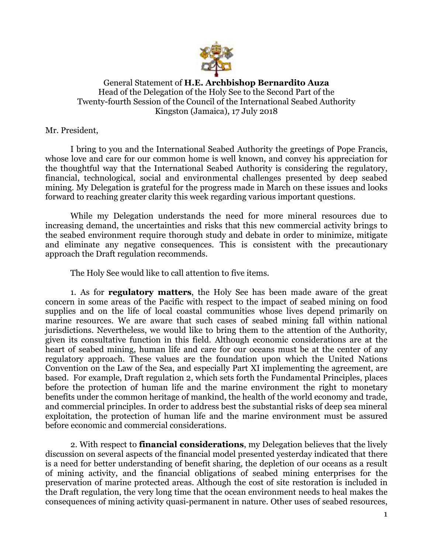

General Statement of **H.E. Archbishop Bernardito Auza** Head of the Delegation of the Holy See to the Second Part of the Twenty-fourth Session of the Council of the International Seabed Authority Kingston (Jamaica), 17 July 2018

Mr. President,

I bring to you and the International Seabed Authority the greetings of Pope Francis, whose love and care for our common home is well known, and convey his appreciation for the thoughtful way that the International Seabed Authority is considering the regulatory, financial, technological, social and environmental challenges presented by deep seabed mining. My Delegation is grateful for the progress made in March on these issues and looks forward to reaching greater clarity this week regarding various important questions.

While my Delegation understands the need for more mineral resources due to increasing demand, the uncertainties and risks that this new commercial activity brings to the seabed environment require thorough study and debate in order to minimize, mitigate and eliminate any negative consequences. This is consistent with the precautionary approach the Draft regulation recommends.

The Holy See would like to call attention to five items.

1. As for **regulatory matters**, the Holy See has been made aware of the great concern in some areas of the Pacific with respect to the impact of seabed mining on food supplies and on the life of local coastal communities whose lives depend primarily on marine resources. We are aware that such cases of seabed mining fall within national jurisdictions. Nevertheless, we would like to bring them to the attention of the Authority, given its consultative function in this field. Although economic considerations are at the heart of seabed mining, human life and care for our oceans must be at the center of any regulatory approach. These values are the foundation upon which the United Nations Convention on the Law of the Sea, and especially Part XI implementing the agreement, are based. For example, Draft regulation 2, which sets forth the Fundamental Principles, places before the protection of human life and the marine environment the right to monetary benefits under the common heritage of mankind, the health of the world economy and trade, and commercial principles. In order to address best the substantial risks of deep sea mineral exploitation, the protection of human life and the marine environment must be assured before economic and commercial considerations.

2. With respect to **financial considerations**, my Delegation believes that the lively discussion on several aspects of the financial model presented yesterday indicated that there is a need for better understanding of benefit sharing, the depletion of our oceans as a result of mining activity, and the financial obligations of seabed mining enterprises for the preservation of marine protected areas. Although the cost of site restoration is included in the Draft regulation, the very long time that the ocean environment needs to heal makes the consequences of mining activity quasi-permanent in nature. Other uses of seabed resources,